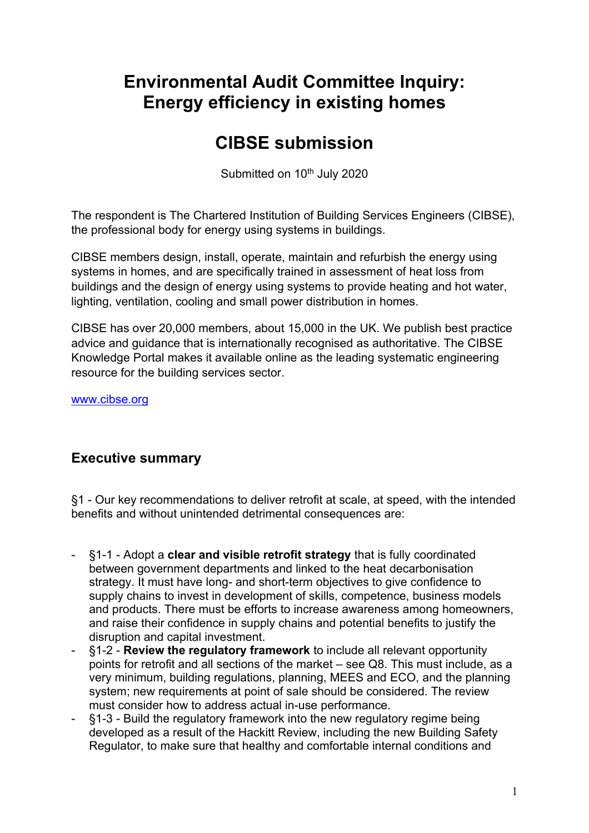# **Environmental Audit Committee Inquiry: Energy efficiency in existing homes**

# **CIBSE submission**

Submitted on 10<sup>th</sup> July 2020

The respondent is The Chartered Institution of Building Services Engineers (CIBSE), the professional body for energy using systems in buildings.

CIBSE members design, install, operate, maintain and refurbish the energy using systems in homes, and are specifically trained in assessment of heat loss from buildings and the design of energy using systems to provide heating and hot water, lighting, ventilation, cooling and small power distribution in homes.

CIBSE has over 20,000 members, about 15,000 in the UK. We publish best practice advice and guidance that is internationally recognised as authoritative. The CIBSE Knowledge Portal makes it available online as the leading systematic engineering resource for the building services sector.

[www.cibse.org](http://www.cibse.org/) 

# **Executive summary**

§1 - Our key recommendations to deliver retrofit at scale, at speed, with the intended benefits and without unintended detrimental consequences are:

- §1-1 Adopt a **clear and visible retrofit strategy** that is fully coordinated between government departments and linked to the heat decarbonisation strategy. It must have long- and short-term objectives to give confidence to supply chains to invest in development of skills, competence, business models and products. There must be efforts to increase awareness among homeowners, and raise their confidence in supply chains and potential benefits to justify the disruption and capital investment.
- §1-2 **Review the regulatory framework** to include all relevant opportunity points for retrofit and all sections of the market – see Q8. This must include, as a very minimum, building regulations, planning, MEES and ECO, and the planning system; new requirements at point of sale should be considered. The review must consider how to address actual in-use performance.
- §1-3 Build the regulatory framework into the new regulatory regime being developed as a result of the Hackitt Review, including the new Building Safety Regulator, to make sure that healthy and comfortable internal conditions and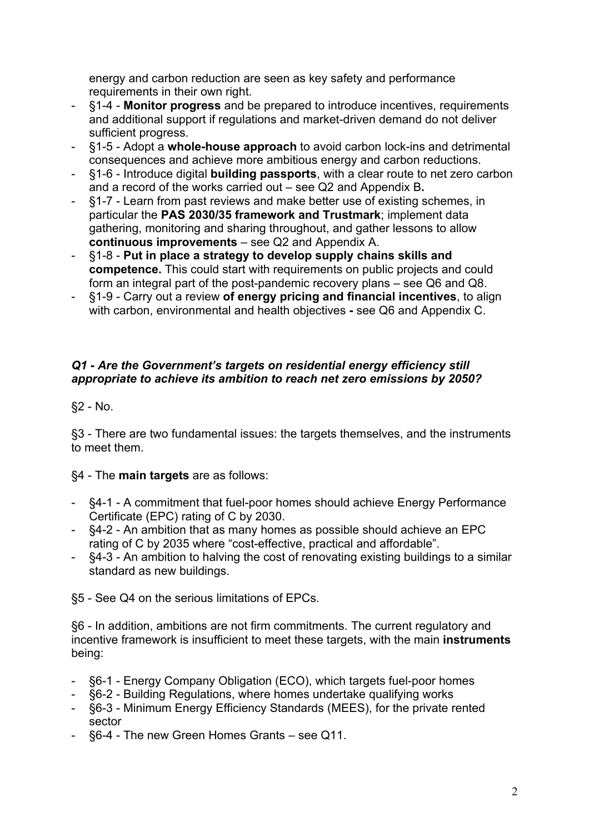energy and carbon reduction are seen as key safety and performance requirements in their own right.

- §1-4 **Monitor progress** and be prepared to introduce incentives, requirements and additional support if regulations and market-driven demand do not deliver sufficient progress.
- §1-5 Adopt a **whole-house approach** to avoid carbon lock-ins and detrimental consequences and achieve more ambitious energy and carbon reductions.
- §1-6 Introduce digital **building passports**, with a clear route to net zero carbon and a record of the works carried out – see Q2 and Appendix B**.**
- §1-7 Learn from past reviews and make better use of existing schemes, in particular the **PAS 2030/35 framework and Trustmark**; implement data gathering, monitoring and sharing throughout, and gather lessons to allow **continuous improvements** – see Q2 and Appendix A.
- §1-8 **Put in place a strategy to develop supply chains skills and competence.** This could start with requirements on public projects and could form an integral part of the post-pandemic recovery plans – see Q6 and Q8.
- §1-9 Carry out a review **of energy pricing and financial incentives**, to align with carbon, environmental and health objectives **-** see Q6 and Appendix C.

## *Q1 - Are the Government's targets on residential energy efficiency still appropriate to achieve its ambition to reach net zero emissions by 2050?*

§2 - No.

§3 - There are two fundamental issues: the targets themselves, and the instruments to meet them.

# §4 - The **main targets** are as follows:

- §4-1 A commitment that fuel-poor homes should achieve Energy Performance Certificate (EPC) rating of C by 2030.
- §4-2 An ambition that as many homes as possible should achieve an EPC rating of C by 2035 where "cost-effective, practical and affordable".
- §4-3 An ambition to halving the cost of renovating existing buildings to a similar standard as new buildings.

§5 - See Q4 on the serious limitations of EPCs.

§6 - In addition, ambitions are not firm commitments. The current regulatory and incentive framework is insufficient to meet these targets, with the main **instruments** being:

- §6-1 Energy Company Obligation (ECO), which targets fuel-poor homes
- §6-2 Building Regulations, where homes undertake qualifying works
- §6-3 Minimum Energy Efficiency Standards (MEES), for the private rented sector
- §6-4 The new Green Homes Grants see Q11.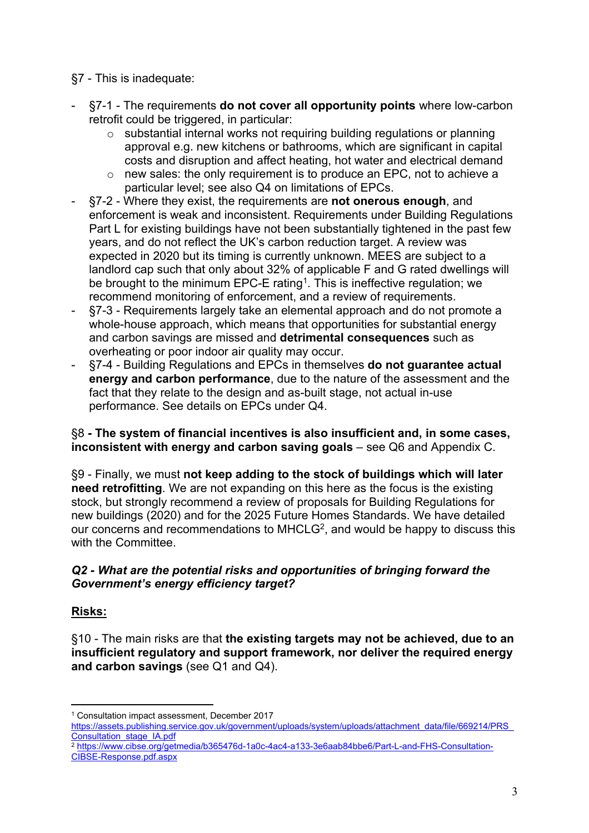§7 - This is inadequate:

- §7-1 The requirements **do not cover all opportunity points** where low-carbon retrofit could be triggered, in particular:
	- o substantial internal works not requiring building regulations or planning approval e.g. new kitchens or bathrooms, which are significant in capital costs and disruption and affect heating, hot water and electrical demand
	- o new sales: the only requirement is to produce an EPC, not to achieve a particular level; see also Q4 on limitations of EPCs.
- §7-2 Where they exist, the requirements are **not onerous enough**, and enforcement is weak and inconsistent. Requirements under Building Regulations Part L for existing buildings have not been substantially tightened in the past few years, and do not reflect the UK's carbon reduction target. A review was expected in 2020 but its timing is currently unknown. MEES are subject to a landlord cap such that only about 32% of applicable F and G rated dwellings will be brought to the minimum EPC-E rating<sup>1</sup>. This is ineffective regulation; we recommend monitoring of enforcement, and a review of requirements.
- §7-3 Requirements largely take an elemental approach and do not promote a whole-house approach, which means that opportunities for substantial energy and carbon savings are missed and **detrimental consequences** such as overheating or poor indoor air quality may occur.
- §7-4 Building Regulations and EPCs in themselves **do not guarantee actual energy and carbon performance**, due to the nature of the assessment and the fact that they relate to the design and as-built stage, not actual in-use performance. See details on EPCs under Q4.

## §8 **- The system of financial incentives is also insufficient and, in some cases, inconsistent with energy and carbon saving goals** – see Q6 and Appendix C.

§9 - Finally, we must **not keep adding to the stock of buildings which will later need retrofitting**. We are not expanding on this here as the focus is the existing stock, but strongly recommend a review of proposals for Building Regulations for new buildings (2020) and for the 2025 Future Homes Standards. We have detailed our concerns and recommendations to MHCLG<sup>2</sup>, and would be happy to discuss this with the Committee.

# *Q2 - What are the potential risks and opportunities of bringing forward the Government's energy efficiency target?*

# **Risks:**

§10 - The main risks are that **the existing targets may not be achieved, due to an insufficient regulatory and support framework, nor deliver the required energy and carbon savings** (see Q1 and Q4).

<sup>1</sup> Consultation impact assessment, December 2017

[https://assets.publishing.service.gov.uk/government/uploads/system/uploads/attachment\\_data/file/669214/PRS\\_](https://assets.publishing.service.gov.uk/government/uploads/system/uploads/attachment_data/file/669214/PRS_Consultation_stage_IA.pdf) [Consultation\\_stage\\_IA.pdf](https://assets.publishing.service.gov.uk/government/uploads/system/uploads/attachment_data/file/669214/PRS_Consultation_stage_IA.pdf) 

<sup>2</sup> [https://www.cibse.org/getmedia/b365476d-1a0c-4ac4-a133-3e6aab84bbe6/Part-L-and-FHS-Consultation-](https://www.cibse.org/getmedia/b365476d-1a0c-4ac4-a133-3e6aab84bbe6/Part-L-and-FHS-Consultation-CIBSE-Response.pdf.aspx)[CIBSE-Response.pdf.aspx](https://www.cibse.org/getmedia/b365476d-1a0c-4ac4-a133-3e6aab84bbe6/Part-L-and-FHS-Consultation-CIBSE-Response.pdf.aspx)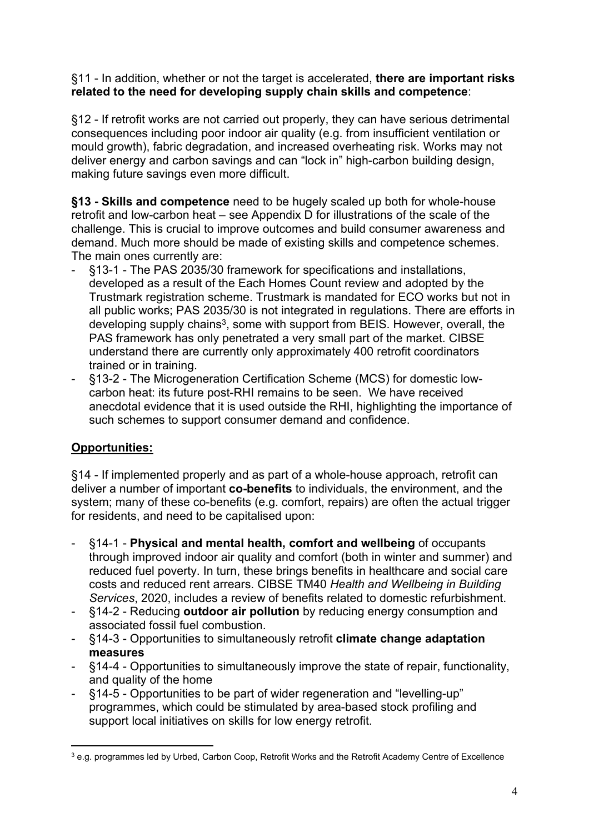### §11 - In addition, whether or not the target is accelerated, **there are important risks related to the need for developing supply chain skills and competence**:

§12 - If retrofit works are not carried out properly, they can have serious detrimental consequences including poor indoor air quality (e.g. from insufficient ventilation or mould growth), fabric degradation, and increased overheating risk. Works may not deliver energy and carbon savings and can "lock in" high-carbon building design, making future savings even more difficult.

**§13 - Skills and competence** need to be hugely scaled up both for whole-house retrofit and low-carbon heat – see Appendix D for illustrations of the scale of the challenge. This is crucial to improve outcomes and build consumer awareness and demand. Much more should be made of existing skills and competence schemes. The main ones currently are:

- §13-1 The PAS 2035/30 framework for specifications and installations, developed as a result of the Each Homes Count review and adopted by the Trustmark registration scheme. Trustmark is mandated for ECO works but not in all public works; PAS 2035/30 is not integrated in regulations. There are efforts in developing supply chains<sup>3</sup>, some with support from BEIS. However, overall, the PAS framework has only penetrated a very small part of the market. CIBSE understand there are currently only approximately 400 retrofit coordinators trained or in training.
- §13-2 The Microgeneration Certification Scheme (MCS) for domestic lowcarbon heat: its future post-RHI remains to be seen. We have received anecdotal evidence that it is used outside the RHI, highlighting the importance of such schemes to support consumer demand and confidence.

# **Opportunities:**

§14 - If implemented properly and as part of a whole-house approach, retrofit can deliver a number of important **co-benefits** to individuals, the environment, and the system; many of these co-benefits (e.g. comfort, repairs) are often the actual trigger for residents, and need to be capitalised upon:

- §14-1 **Physical and mental health, comfort and wellbeing** of occupants through improved indoor air quality and comfort (both in winter and summer) and reduced fuel poverty. In turn, these brings benefits in healthcare and social care costs and reduced rent arrears. CIBSE TM40 *Health and Wellbeing in Building Services*, 2020, includes a review of benefits related to domestic refurbishment.
- §14-2 Reducing **outdoor air pollution** by reducing energy consumption and associated fossil fuel combustion.
- §14-3 Opportunities to simultaneously retrofit **climate change adaptation measures**
- §14-4 Opportunities to simultaneously improve the state of repair, functionality, and quality of the home
- §14-5 Opportunities to be part of wider regeneration and "levelling-up" programmes, which could be stimulated by area-based stock profiling and support local initiatives on skills for low energy retrofit.

<sup>3</sup> e.g. programmes led by Urbed, Carbon Coop, Retrofit Works and the Retrofit Academy Centre of Excellence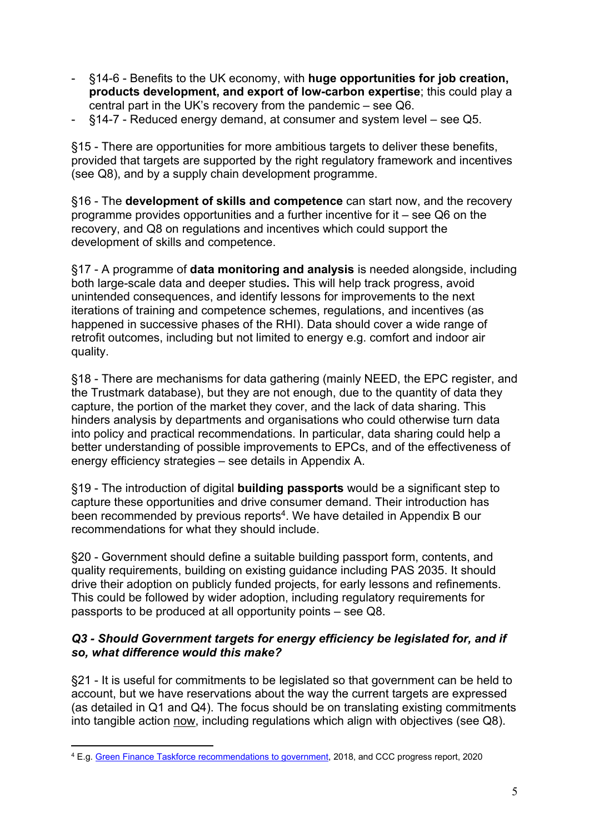- §14-6 Benefits to the UK economy, with **huge opportunities for job creation, products development, and export of low-carbon expertise**; this could play a central part in the UK's recovery from the pandemic – see Q6.
- §14-7 Reduced energy demand, at consumer and system level see Q5.

§15 - There are opportunities for more ambitious targets to deliver these benefits, provided that targets are supported by the right regulatory framework and incentives (see Q8), and by a supply chain development programme.

§16 - The **development of skills and competence** can start now, and the recovery programme provides opportunities and a further incentive for it – see Q6 on the recovery, and Q8 on regulations and incentives which could support the development of skills and competence.

§17 - A programme of **data monitoring and analysis** is needed alongside, including both large-scale data and deeper studies**.** This will help track progress, avoid unintended consequences, and identify lessons for improvements to the next iterations of training and competence schemes, regulations, and incentives (as happened in successive phases of the RHI). Data should cover a wide range of retrofit outcomes, including but not limited to energy e.g. comfort and indoor air quality.

§18 - There are mechanisms for data gathering (mainly NEED, the EPC register, and the Trustmark database), but they are not enough, due to the quantity of data they capture, the portion of the market they cover, and the lack of data sharing. This hinders analysis by departments and organisations who could otherwise turn data into policy and practical recommendations. In particular, data sharing could help a better understanding of possible improvements to EPCs, and of the effectiveness of energy efficiency strategies – see details in Appendix A.

§19 - The introduction of digital **building passports** would be a significant step to capture these opportunities and drive consumer demand. Their introduction has been recommended by previous reports<sup>4</sup>. We have detailed in Appendix B our recommendations for what they should include.

§20 - Government should define a suitable building passport form, contents, and quality requirements, building on existing guidance including PAS 2035. It should drive their adoption on publicly funded projects, for early lessons and refinements. This could be followed by wider adoption, including regulatory requirements for passports to be produced at all opportunity points – see Q8.

## *Q3 - Should Government targets for energy efficiency be legislated for, and if so, what difference would this make?*

§21 - It is useful for commitments to be legislated so that government can be held to account, but we have reservations about the way the current targets are expressed (as detailed in Q1 and Q4). The focus should be on translating existing commitments into tangible action now, including regulations which align with objectives (see Q8).

<sup>4</sup> E.g. [Green](https://assets.publishing.service.gov.uk/government/uploads/system/uploads/attachment_data/file/703816/green-finance-taskforce-accelerating-green-finance-report.pdf) [Finance](https://assets.publishing.service.gov.uk/government/uploads/system/uploads/attachment_data/file/703816/green-finance-taskforce-accelerating-green-finance-report.pdf) [Taskforce](https://assets.publishing.service.gov.uk/government/uploads/system/uploads/attachment_data/file/703816/green-finance-taskforce-accelerating-green-finance-report.pdf) [recommendations](https://assets.publishing.service.gov.uk/government/uploads/system/uploads/attachment_data/file/703816/green-finance-taskforce-accelerating-green-finance-report.pdf) [to](https://assets.publishing.service.gov.uk/government/uploads/system/uploads/attachment_data/file/703816/green-finance-taskforce-accelerating-green-finance-report.pdf) [government,](https://assets.publishing.service.gov.uk/government/uploads/system/uploads/attachment_data/file/703816/green-finance-taskforce-accelerating-green-finance-report.pdf) 2018, and CCC progress report, 2020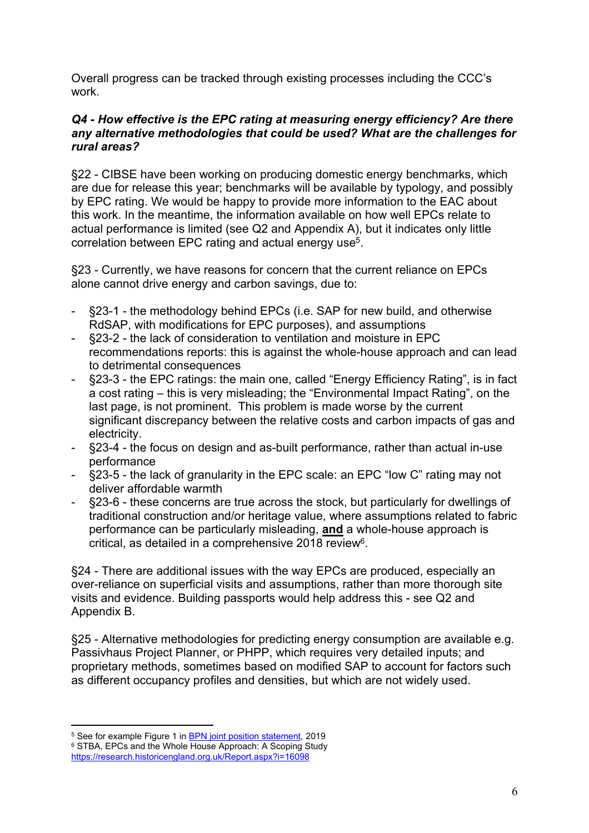Overall progress can be tracked through existing processes including the CCC's work.

#### *Q4 - How effective is the EPC rating at measuring energy efficiency? Are there any alternative methodologies that could be used? What are the challenges for rural areas?*

§22 - CIBSE have been working on producing domestic energy benchmarks, which are due for release this year; benchmarks will be available by typology, and possibly by EPC rating. We would be happy to provide more information to the EAC about this work. In the meantime, the information available on how well EPCs relate to actual performance is limited (see Q2 and Appendix A), but it indicates only little correlation between EPC rating and actual energy use<sup>5</sup>.

<span id="page-5-1"></span>§23 - Currently, we have reasons for concern that the current reliance on EPCs alone cannot drive energy and carbon savings, due to:

- §23-1 the methodology behind EPCs (i.e. SAP for new build, and otherwise RdSAP, with modifications for EPC purposes), and assumptions
- §23-2 the lack of consideration to ventilation and moisture in EPC recommendations reports: this is against the whole-house approach and can lead to detrimental consequences
- §23-3 the EPC ratings: the main one, called "Energy Efficiency Rating", is in fact a cost rating – this is very misleading; the "Environmental Impact Rating", on the last page, is not prominent. This problem is made worse by the current significant discrepancy between the relative costs and carbon impacts of gas and electricity.
- §23-4 the focus on design and as-built performance, rather than actual in-use performance
- §23-5 the lack of granularity in the EPC scale: an EPC "low C" rating may not deliver affordable warmth
- §23-6 these concerns are true across the stock, but particularly for dwellings of traditional construction and/or heritage value, where assumptions related to fabric performance can be particularly misleading, **and** a whole-house approach is critical, as detailed in a comprehensive 2018 review<sup>6</sup>.

<span id="page-5-0"></span>§24 - There are additional issues with the way EPCs are produced, especially an over-reliance on superficial visits and assumptions, rather than more thorough site visits and evidence. Building passports would help address this - see Q2 and Appendix B.

§25 - Alternative methodologies for predicting energy consumption are available e.g. Passivhaus Project Planner, or PHPP, which requires very detailed inputs; and proprietary methods, sometimes based on modified SAP to account for factors such as different occupancy profiles and densities, but which are not widely used.

<sup>&</sup>lt;sup>5</sup> See for example Figure 1 in **[BPN](https://building-performance.network/advocacy/building-performance-joint-position-statement)** [joint](https://building-performance.network/advocacy/building-performance-joint-position-statement) [position](https://building-performance.network/advocacy/building-performance-joint-position-statement) [statement,](https://building-performance.network/advocacy/building-performance-joint-position-statement) 2019 <sup>6</sup> STBA, EPCs and the Whole House Approach: A Scoping Study <https://research.historicengland.org.uk/Report.aspx?i=16098>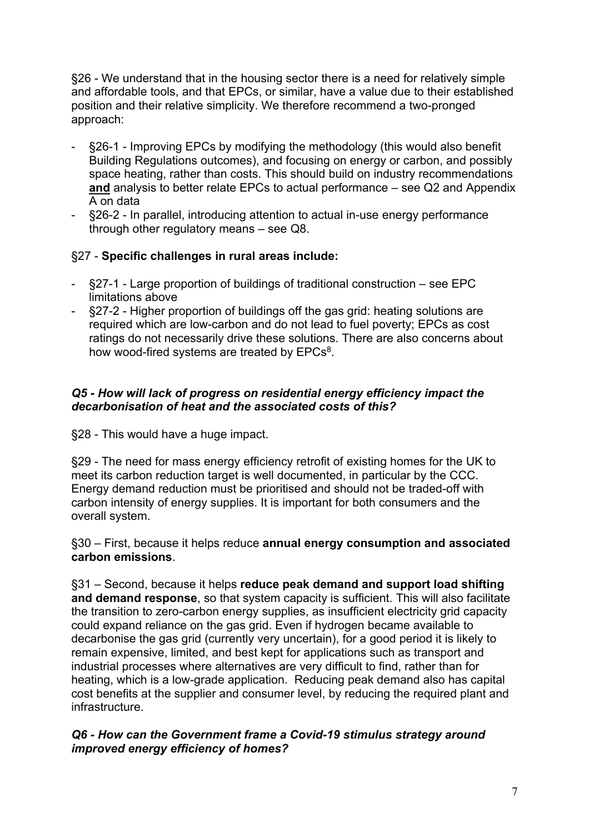§26 - We understand that in the housing sector there is a need for relatively simple and affordable tools, and that EPCs, or similar, have a value due to their established position and their relative simplicity. We therefore recommend a two-pronged approach:

- §26-1 Improving EPCs by modifying the methodology (this would also benefit Building Regulations outcomes), and focusing on energy or carbon, and possibly space heating, rather than costs. This should build on industry recommendations **and** analysis to better relate EPCs to actual performance – see Q2 and Appendix A on data
- §26-2 In parallel, introducing attention to actual in-use energy performance through other regulatory means – see Q8.

## §27 - **Specific challenges in rural areas include:**

- §27-1 Large proportion of buildings of traditional construction see EPC limitations above
- §27-2 Higher proportion of buildings off the gas grid: heating solutions are required which are low-carbon and do not lead to fuel poverty; EPCs as cost ratings do not necessarily drive these solutions. There are also concerns about how wood-fired systems are treated by  $EPCs<sup>8</sup>$  $EPCs<sup>8</sup>$  $EPCs<sup>8</sup>$ .

## *Q5 - How will lack of progress on residential energy efficiency impact the decarbonisation of heat and the associated costs of this?*

§28 - This would have a huge impact.

§29 - The need for mass energy efficiency retrofit of existing homes for the UK to meet its carbon reduction target is well documented, in particular by the CCC. Energy demand reduction must be prioritised and should not be traded-off with carbon intensity of energy supplies. It is important for both consumers and the overall system.

§30 – First, because it helps reduce **annual energy consumption and associated carbon emissions**.

§31 – Second, because it helps **reduce peak demand and support load shifting and demand response**, so that system capacity is sufficient. This will also facilitate the transition to zero-carbon energy supplies, as insufficient electricity grid capacity could expand reliance on the gas grid. Even if hydrogen became available to decarbonise the gas grid (currently very uncertain), for a good period it is likely to remain expensive, limited, and best kept for applications such as transport and industrial processes where alternatives are very difficult to find, rather than for heating, which is a low-grade application. Reducing peak demand also has capital cost benefits at the supplier and consumer level, by reducing the required plant and infrastructure.

#### *Q6 - How can the Government frame a Covid-19 stimulus strategy around improved energy efficiency of homes?*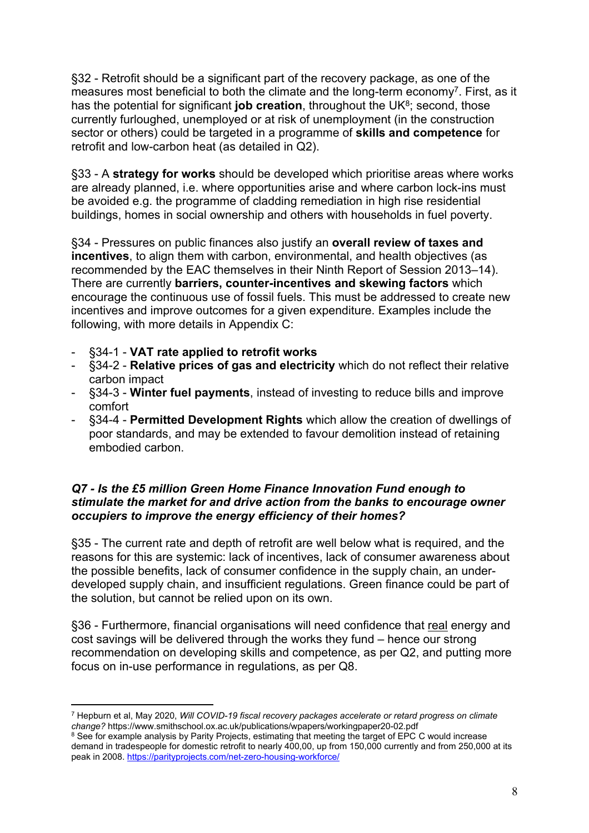§32 - Retrofit should be a significant part of the recovery package, as one of the measures most beneficial to both the climate and the long-term economy<sup>7</sup>. First, as it has the potential for significant **job creation**, throughout the UK<sup>8</sup>; second, those currently furloughed, unemployed or at risk of unemployment (in the construction sector or others) could be targeted in a programme of **skills and competence** for retrofit and low-carbon heat (as detailed in Q2).

§33 - A **strategy for works** should be developed which prioritise areas where works are already planned, i.e. where opportunities arise and where carbon lock-ins must be avoided e.g. the programme of cladding remediation in high rise residential buildings, homes in social ownership and others with households in fuel poverty.

§34 - Pressures on public finances also justify an **overall review of taxes and incentives**, to align them with carbon, environmental, and health objectives (as recommended by the EAC themselves in their Ninth Report of Session 2013–14). There are currently **barriers, counter-incentives and skewing factors** which encourage the continuous use of fossil fuels. This must be addressed to create new incentives and improve outcomes for a given expenditure. Examples include the following, with more details in Appendix C:

- §34-1 **VAT rate applied to retrofit works**
- §34-2 **Relative prices of gas and electricity** which do not reflect their relative carbon impact
- §34-3 **Winter fuel payments**, instead of investing to reduce bills and improve comfort
- §34-4 **Permitted Development Rights** which allow the creation of dwellings of poor standards, and may be extended to favour demolition instead of retaining embodied carbon.

### *Q7 - Is the £5 million Green Home Finance Innovation Fund enough to stimulate the market for and drive action from the banks to encourage owner occupiers to improve the energy efficiency of their homes?*

§35 - The current rate and depth of retrofit are well below what is required, and the reasons for this are systemic: lack of incentives, lack of consumer awareness about the possible benefits, lack of consumer confidence in the supply chain, an underdeveloped supply chain, and insufficient regulations. Green finance could be part of the solution, but cannot be relied upon on its own.

§36 - Furthermore, financial organisations will need confidence that real energy and cost savings will be delivered through the works they fund – hence our strong recommendation on developing skills and competence, as per Q2, and putting more focus on in-use performance in regulations, as per Q8.

<sup>7</sup> Hepburn et al, May 2020, *Will COVID-19 fiscal recovery packages accelerate or retard progress on climate change?* https://www.smithschool.ox.ac.uk/publications/wpapers/workingpaper20-02.pdf

<sup>&</sup>lt;sup>8</sup> See for example analysis by Parity Projects, estimating that meeting the target of EPC C would increase demand in tradespeople for domestic retrofit to nearly 400,00, up from 150,000 currently and from 250,000 at its peak in 2008. <https://parityprojects.com/net-zero-housing-workforce/>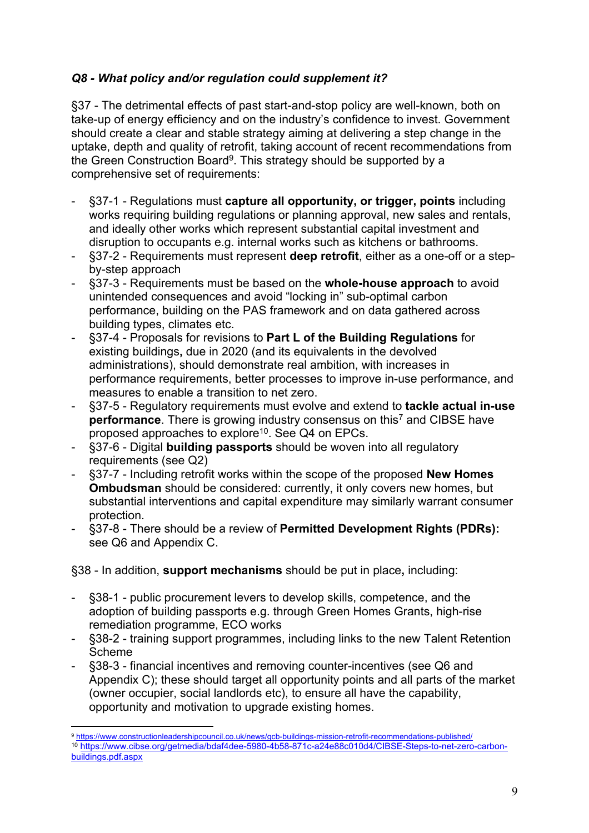# *Q8 - What policy and/or regulation could supplement it?*

§37 - The detrimental effects of past start-and-stop policy are well-known, both on take-up of energy efficiency and on the industry's confidence to invest. Government should create a clear and stable strategy aiming at delivering a step change in the uptake, depth and quality of retrofit, taking account of recent recommendations from the Green Construction Board<sup>9</sup>. This strategy should be supported by a comprehensive set of requirements:

- §37-1 Regulations must **capture all opportunity, or trigger, points** including works requiring building regulations or planning approval, new sales and rentals, and ideally other works which represent substantial capital investment and disruption to occupants e.g. internal works such as kitchens or bathrooms.
- §37-2 Requirements must represent **deep retrofit**, either as a one-off or a stepby-step approach
- §37-3 Requirements must be based on the **whole-house approach** to avoid unintended consequences and avoid "locking in" sub-optimal carbon performance, building on the PAS framework and on data gathered across building types, climates etc.
- §37-4 Proposals for revisions to **Part L of the Building Regulations** for existing buildings**,** due in 2020 (and its equivalents in the devolved administrations), should demonstrate real ambition, with increases in performance requirements, better processes to improve in-use performance, and measures to enable a transition to net zero.
- §37-5 Regulatory requirements must evolve and extend to **tackle actual in-use performance**. There is growing industry consensus on this<sup>[7](#page-5-1)</sup> and CIBSE have proposed approaches to explore<sup>10</sup>. See Q4 on EPCs.
- §37-6 Digital **building passports** should be woven into all regulatory requirements (see Q2)
- §37-7 Including retrofit works within the scope of the proposed **New Homes Ombudsman** should be considered: currently, it only covers new homes, but substantial interventions and capital expenditure may similarly warrant consumer protection.
- §37-8 There should be a review of **Permitted Development Rights (PDRs):** see Q6 and Appendix C.

§38 - In addition, **support mechanisms** should be put in place**,** including:

- §38-1 public procurement levers to develop skills, competence, and the adoption of building passports e.g. through Green Homes Grants, high-rise remediation programme, ECO works
- §38-2 training support programmes, including links to the new Talent Retention Scheme
- §38-3 financial incentives and removing counter-incentives (see Q6 and Appendix C); these should target all opportunity points and all parts of the market (owner occupier, social landlords etc), to ensure all have the capability, opportunity and motivation to upgrade existing homes.

<sup>9</sup> <https://www.constructionleadershipcouncil.co.uk/news/gcb-buildings-mission-retrofit-recommendations-published/> <sup>10</sup> [https://www.cibse.org/getmedia/bdaf4dee-5980-4b58-871c-a24e88c010d4/CIBSE-Steps-to-net-zero-carbon](https://www.cibse.org/getmedia/bdaf4dee-5980-4b58-871c-a24e88c010d4/CIBSE-Steps-to-net-zero-carbon-buildings.pdf.aspx)[buildings.pdf.aspx](https://www.cibse.org/getmedia/bdaf4dee-5980-4b58-871c-a24e88c010d4/CIBSE-Steps-to-net-zero-carbon-buildings.pdf.aspx)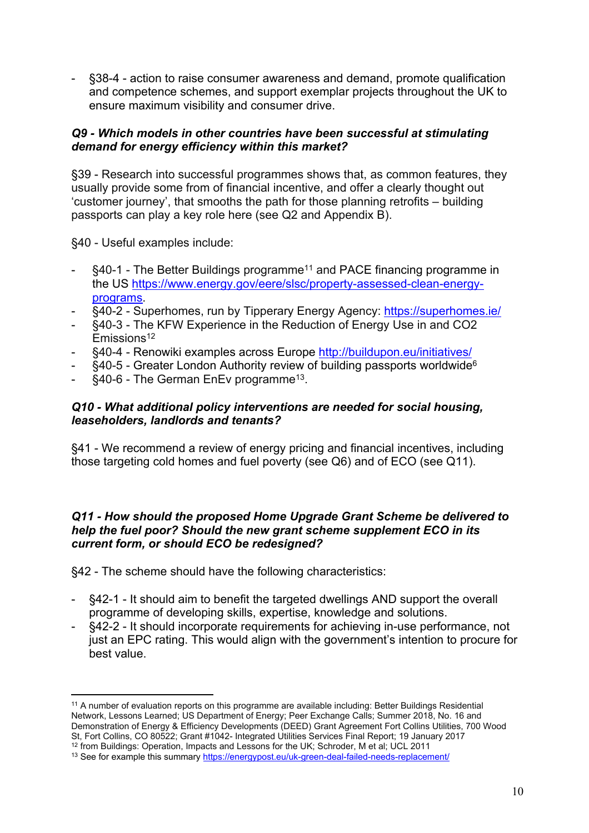- §38-4 - action to raise consumer awareness and demand, promote qualification and competence schemes, and support exemplar projects throughout the UK to ensure maximum visibility and consumer drive.

#### *Q9 - Which models in other countries have been successful at stimulating demand for energy efficiency within this market?*

§39 - Research into successful programmes shows that, as common features, they usually provide some from of financial incentive, and offer a clearly thought out 'customer journey', that smooths the path for those planning retrofits – building passports can play a key role here (see Q2 and Appendix B).

§40 - Useful examples include:

- §40-1 The Better Buildings programme<sup>11</sup> and PACE financing programme in the US [https://www.energy.gov/eere/slsc/property-assessed-clean-energy](https://www.energy.gov/eere/slsc/property-assessed-clean-energy-programs)[programs.](https://www.energy.gov/eere/slsc/property-assessed-clean-energy-programs)
- §40-2 Superhomes, run by Tipperary Energy Agency: <https://superhomes.ie/>
- §40-3 The KFW Experience in the Reduction of Energy Use in and CO2  $Emissions<sup>12</sup>$
- §40-4 Renowiki examples across Europe <http://buildupon.eu/initiatives/>
- §40-5 Greater London Authority review of building passports worldwide<sup>[6](#page-12-0)</sup>
- §40-6 The German EnEv programme<sup>13</sup>.

### *Q10 - What additional policy interventions are needed for social housing, leaseholders, landlords and tenants?*

§41 - We recommend a review of energy pricing and financial incentives, including those targeting cold homes and fuel poverty (see Q6) and of ECO (see Q11).

### *Q11 - How should the proposed Home Upgrade Grant Scheme be delivered to help the fuel poor? Should the new grant scheme supplement ECO in its current form, or should ECO be redesigned?*

§42 - The scheme should have the following characteristics:

- §42-1 It should aim to benefit the targeted dwellings AND support the overall programme of developing skills, expertise, knowledge and solutions.
- §42-2 It should incorporate requirements for achieving in-use performance, not just an EPC rating. This would align with the government's intention to procure for best value.

<sup>11</sup> A number of evaluation reports on this programme are available including: Better Buildings Residential Network, Lessons Learned; US Department of Energy; Peer Exchange Calls; Summer 2018, No. 16 and Demonstration of Energy & Efficiency Developments (DEED) Grant Agreement Fort Collins Utilities, 700 Wood St, Fort Collins, CO 80522; Grant #1042- Integrated Utilities Services Final Report; 19 January 2017 <sup>12</sup> from Buildings: Operation, Impacts and Lessons for the UK; Schroder, M et al; UCL 2011

<sup>13</sup> See for example this summary <https://energypost.eu/uk-green-deal-failed-needs-replacement/>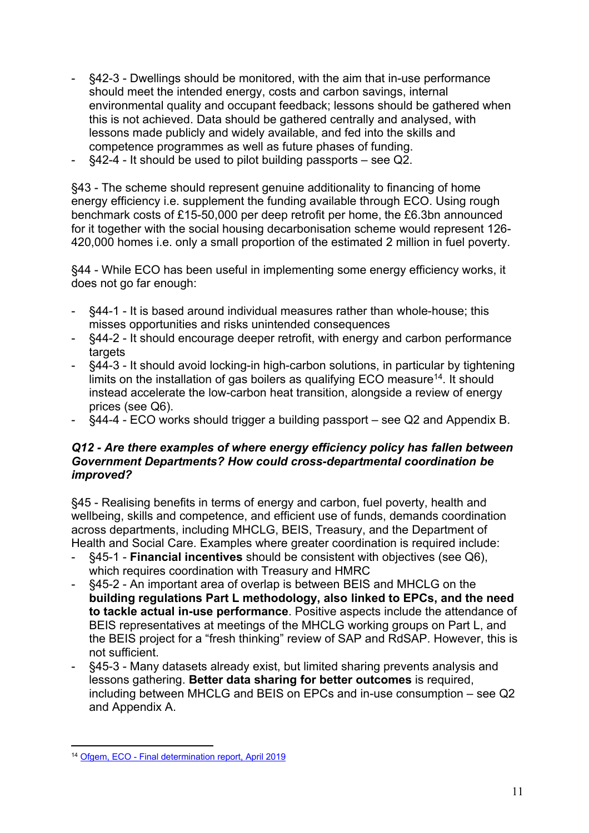- §42-3 Dwellings should be monitored, with the aim that in-use performance should meet the intended energy, costs and carbon savings, internal environmental quality and occupant feedback; lessons should be gathered when this is not achieved. Data should be gathered centrally and analysed, with lessons made publicly and widely available, and fed into the skills and competence programmes as well as future phases of funding.
- $§42-4$  It should be used to pilot building passports see Q2.

§43 - The scheme should represent genuine additionality to financing of home energy efficiency i.e. supplement the funding available through ECO. Using rough benchmark costs of £15-50,000 per deep retrofit per home, the £6.3bn announced for it together with the social housing decarbonisation scheme would represent 126- 420,000 homes i.e. only a small proportion of the estimated 2 million in fuel poverty.

§44 - While ECO has been useful in implementing some energy efficiency works, it does not go far enough:

- §44-1 It is based around individual measures rather than whole-house; this misses opportunities and risks unintended consequences
- §44-2 It should encourage deeper retrofit, with energy and carbon performance targets
- §44-3 It should avoid locking-in high-carbon solutions, in particular by tightening limits on the installation of gas boilers as qualifying ECO measure<sup>14</sup>. It should instead accelerate the low-carbon heat transition, alongside a review of energy prices (see Q6).
- §44-4 ECO works should trigger a building passport see Q2 and Appendix B.

#### *Q12 - Are there examples of where energy efficiency policy has fallen between Government Departments? How could cross-departmental coordination be improved?*

§45 - Realising benefits in terms of energy and carbon, fuel poverty, health and wellbeing, skills and competence, and efficient use of funds, demands coordination across departments, including MHCLG, BEIS, Treasury, and the Department of Health and Social Care. Examples where greater coordination is required include:

- §45-1 **Financial incentives** should be consistent with objectives (see Q6), which requires coordination with Treasury and HMRC
- §45-2 An important area of overlap is between BEIS and MHCLG on the **building regulations Part L methodology, also linked to EPCs, and the need to tackle actual in-use performance**. Positive aspects include the attendance of BEIS representatives at meetings of the MHCLG working groups on Part L, and the BEIS project for a "fresh thinking" review of SAP and RdSAP. However, this is not sufficient.
- §45-3 Many datasets already exist, but limited sharing prevents analysis and lessons gathering. **Better data sharing for better outcomes** is required, including between MHCLG and BEIS on EPCs and in-use consumption – see Q2 and Appendix A.

<sup>14</sup> [Ofgem,](https://www.ofgem.gov.uk/system/files/docs/2019/04/eco2_final_determination_report_0.pdf) [ECO](https://www.ofgem.gov.uk/system/files/docs/2019/04/eco2_final_determination_report_0.pdf) [-](https://www.ofgem.gov.uk/system/files/docs/2019/04/eco2_final_determination_report_0.pdf) [Final](https://www.ofgem.gov.uk/system/files/docs/2019/04/eco2_final_determination_report_0.pdf) [determination](https://www.ofgem.gov.uk/system/files/docs/2019/04/eco2_final_determination_report_0.pdf) [report,](https://www.ofgem.gov.uk/system/files/docs/2019/04/eco2_final_determination_report_0.pdf) [April](https://www.ofgem.gov.uk/system/files/docs/2019/04/eco2_final_determination_report_0.pdf) [2019](https://www.ofgem.gov.uk/system/files/docs/2019/04/eco2_final_determination_report_0.pdf)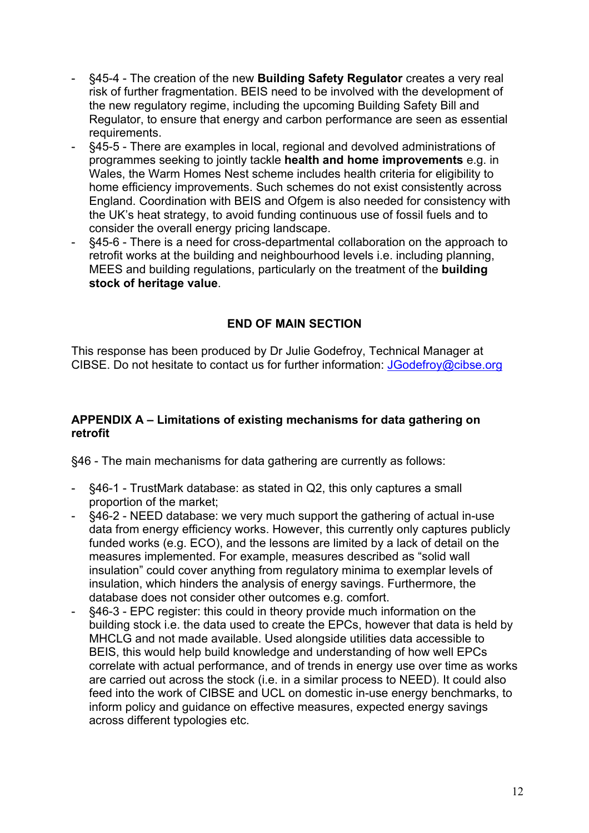- §45-4 The creation of the new **Building Safety Regulator** creates a very real risk of further fragmentation. BEIS need to be involved with the development of the new regulatory regime, including the upcoming Building Safety Bill and Regulator, to ensure that energy and carbon performance are seen as essential requirements.
- §45-5 There are examples in local, regional and devolved administrations of programmes seeking to jointly tackle **health and home improvements** e.g. in Wales, the Warm Homes Nest scheme includes health criteria for eligibility to home efficiency improvements. Such schemes do not exist consistently across England. Coordination with BEIS and Ofgem is also needed for consistency with the UK's heat strategy, to avoid funding continuous use of fossil fuels and to consider the overall energy pricing landscape.
- §45-6 There is a need for cross-departmental collaboration on the approach to retrofit works at the building and neighbourhood levels i.e. including planning, MEES and building regulations, particularly on the treatment of the **building stock of heritage value**.

## **END OF MAIN SECTION**

This response has been produced by Dr Julie Godefroy, Technical Manager at CIBSE. Do not hesitate to contact us for further information: [JGodefroy@cibse.org](mailto:JGodefroy@cibse.org)

## **APPENDIX A – Limitations of existing mechanisms for data gathering on retrofit**

§46 - The main mechanisms for data gathering are currently as follows:

- §46-1 TrustMark database: as stated in Q2, this only captures a small proportion of the market;
- §46-2 NEED database: we very much support the gathering of actual in-use data from energy efficiency works. However, this currently only captures publicly funded works (e.g. ECO), and the lessons are limited by a lack of detail on the measures implemented. For example, measures described as "solid wall insulation" could cover anything from regulatory minima to exemplar levels of insulation, which hinders the analysis of energy savings. Furthermore, the database does not consider other outcomes e.g. comfort.
- §46-3 EPC register: this could in theory provide much information on the building stock i.e. the data used to create the EPCs, however that data is held by MHCLG and not made available. Used alongside utilities data accessible to BEIS, this would help build knowledge and understanding of how well EPCs correlate with actual performance, and of trends in energy use over time as works are carried out across the stock (i.e. in a similar process to NEED). It could also feed into the work of CIBSE and UCL on domestic in-use energy benchmarks, to inform policy and guidance on effective measures, expected energy savings across different typologies etc.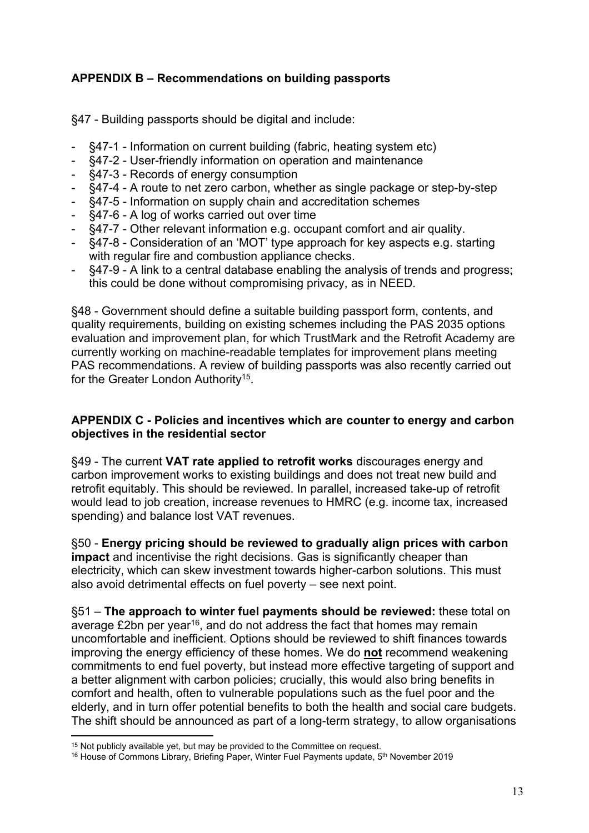# **APPENDIX B – Recommendations on building passports**

§47 - Building passports should be digital and include:

- §47-1 Information on current building (fabric, heating system etc)
- §47-2 User-friendly information on operation and maintenance
- §47-3 Records of energy consumption
- §47-4 A route to net zero carbon, whether as single package or step-by-step
- §47-5 Information on supply chain and accreditation schemes
- §47-6 A log of works carried out over time
- §47-7 Other relevant information e.g. occupant comfort and air quality.
- §47-8 Consideration of an 'MOT' type approach for key aspects e.g. starting with regular fire and combustion appliance checks.
- §47-9 A link to a central database enabling the analysis of trends and progress; this could be done without compromising privacy, as in NEED.

§48 - Government should define a suitable building passport form, contents, and quality requirements, building on existing schemes including the PAS 2035 options evaluation and improvement plan, for which TrustMark and the Retrofit Academy are currently working on machine-readable templates for improvement plans meeting PAS recommendations. A review of building passports was also recently carried out for the Greater London Authority<sup>15</sup>.

## <span id="page-12-0"></span>**APPENDIX C - Policies and incentives which are counter to energy and carbon objectives in the residential sector**

§49 - The current **VAT rate applied to retrofit works** discourages energy and carbon improvement works to existing buildings and does not treat new build and retrofit equitably. This should be reviewed. In parallel, increased take-up of retrofit would lead to job creation, increase revenues to HMRC (e.g. income tax, increased spending) and balance lost VAT revenues.

§50 - **Energy pricing should be reviewed to gradually align prices with carbon impact** and incentivise the right decisions. Gas is significantly cheaper than electricity, which can skew investment towards higher-carbon solutions. This must also avoid detrimental effects on fuel poverty – see next point.

§51 – **The approach to winter fuel payments should be reviewed:** these total on average £2bn per year<sup>16</sup>, and do not address the fact that homes may remain uncomfortable and inefficient. Options should be reviewed to shift finances towards improving the energy efficiency of these homes. We do **not** recommend weakening commitments to end fuel poverty, but instead more effective targeting of support and a better alignment with carbon policies; crucially, this would also bring benefits in comfort and health, often to vulnerable populations such as the fuel poor and the elderly, and in turn offer potential benefits to both the health and social care budgets. The shift should be announced as part of a long-term strategy, to allow organisations

<sup>&</sup>lt;sup>15</sup> Not publicly available yet, but may be provided to the Committee on request.

<sup>&</sup>lt;sup>16</sup> House of Commons Library, Briefing Paper, Winter Fuel Payments update, 5<sup>th</sup> November 2019